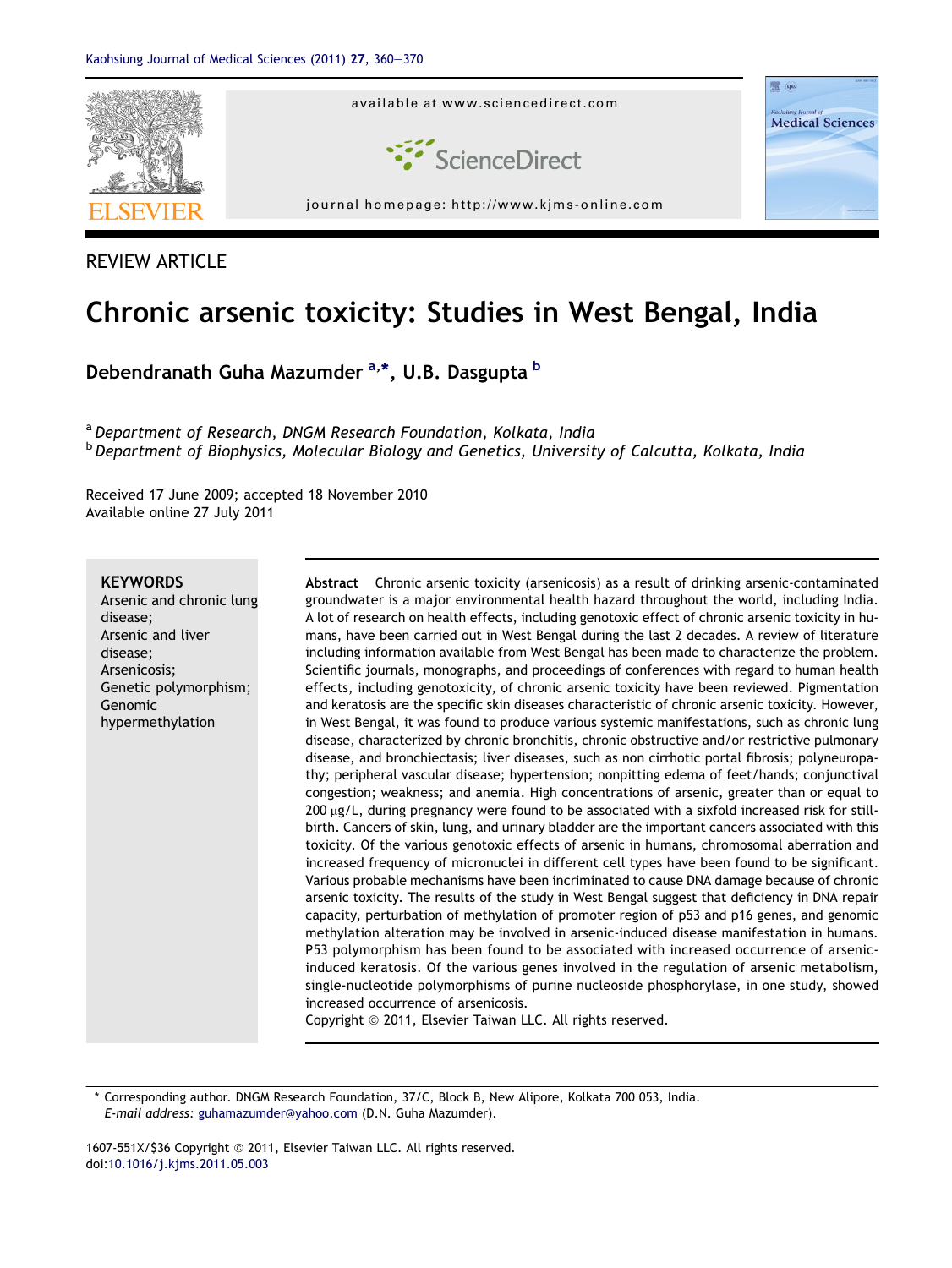

# REVIEW ARTICLE

# Chronic arsenic toxicity: Studies in West Bengal, India

Debendranath Guha Mazumder <sup>a,\*</sup>, U.B. Dasgupta <sup>b</sup>

a Department of Research, DNGM Research Foundation, Kolkata, India **b** Department of Biophysics, Molecular Biology and Genetics, University of Calcutta, Kolkata, India

Received 17 June 2009; accepted 18 November 2010 Available online 27 July 2011

# **KEYWORDS**

Arsenic and chronic lung disease; Arsenic and liver disease; Arsenicosis; Genetic polymorphism; Genomic hypermethylation

Abstract Chronic arsenic toxicity (arsenicosis) as a result of drinking arsenic-contaminated groundwater is a major environmental health hazard throughout the world, including India. A lot of research on health effects, including genotoxic effect of chronic arsenic toxicity in humans, have been carried out in West Bengal during the last 2 decades. A review of literature including information available from West Bengal has been made to characterize the problem. Scientific journals, monographs, and proceedings of conferences with regard to human health effects, including genotoxicity, of chronic arsenic toxicity have been reviewed. Pigmentation and keratosis are the specific skin diseases characteristic of chronic arsenic toxicity. However, in West Bengal, it was found to produce various systemic manifestations, such as chronic lung disease, characterized by chronic bronchitis, chronic obstructive and/or restrictive pulmonary disease, and bronchiectasis; liver diseases, such as non cirrhotic portal fibrosis; polyneuropathy; peripheral vascular disease; hypertension; nonpitting edema of feet/hands; conjunctival congestion; weakness; and anemia. High concentrations of arsenic, greater than or equal to 200 µg/L, during pregnancy were found to be associated with a sixfold increased risk for stillbirth. Cancers of skin, lung, and urinary bladder are the important cancers associated with this toxicity. Of the various genotoxic effects of arsenic in humans, chromosomal aberration and increased frequency of micronuclei in different cell types have been found to be significant. Various probable mechanisms have been incriminated to cause DNA damage because of chronic arsenic toxicity. The results of the study in West Bengal suggest that deficiency in DNA repair capacity, perturbation of methylation of promoter region of p53 and p16 genes, and genomic methylation alteration may be involved in arsenic-induced disease manifestation in humans. P53 polymorphism has been found to be associated with increased occurrence of arsenicinduced keratosis. Of the various genes involved in the regulation of arsenic metabolism, single-nucleotide polymorphisms of purine nucleoside phosphorylase, in one study, showed increased occurrence of arsenicosis.

Copyright © 2011, Elsevier Taiwan LLC. All rights reserved.

\* Corresponding author. DNGM Research Foundation, 37/C, Block B, New Alipore, Kolkata 700 053, India. E-mail address: [guhamazumder@yahoo.com](mailto:guhamazumder@yahoo.com) (D.N. Guha Mazumder).

1607-551X/\$36 Copyright © 2011, Elsevier Taiwan LLC. All rights reserved. doi:[10.1016/j.kjms.2011.05.003](http://dx.doi.org/10.1016/j.kjms.2011.05.003)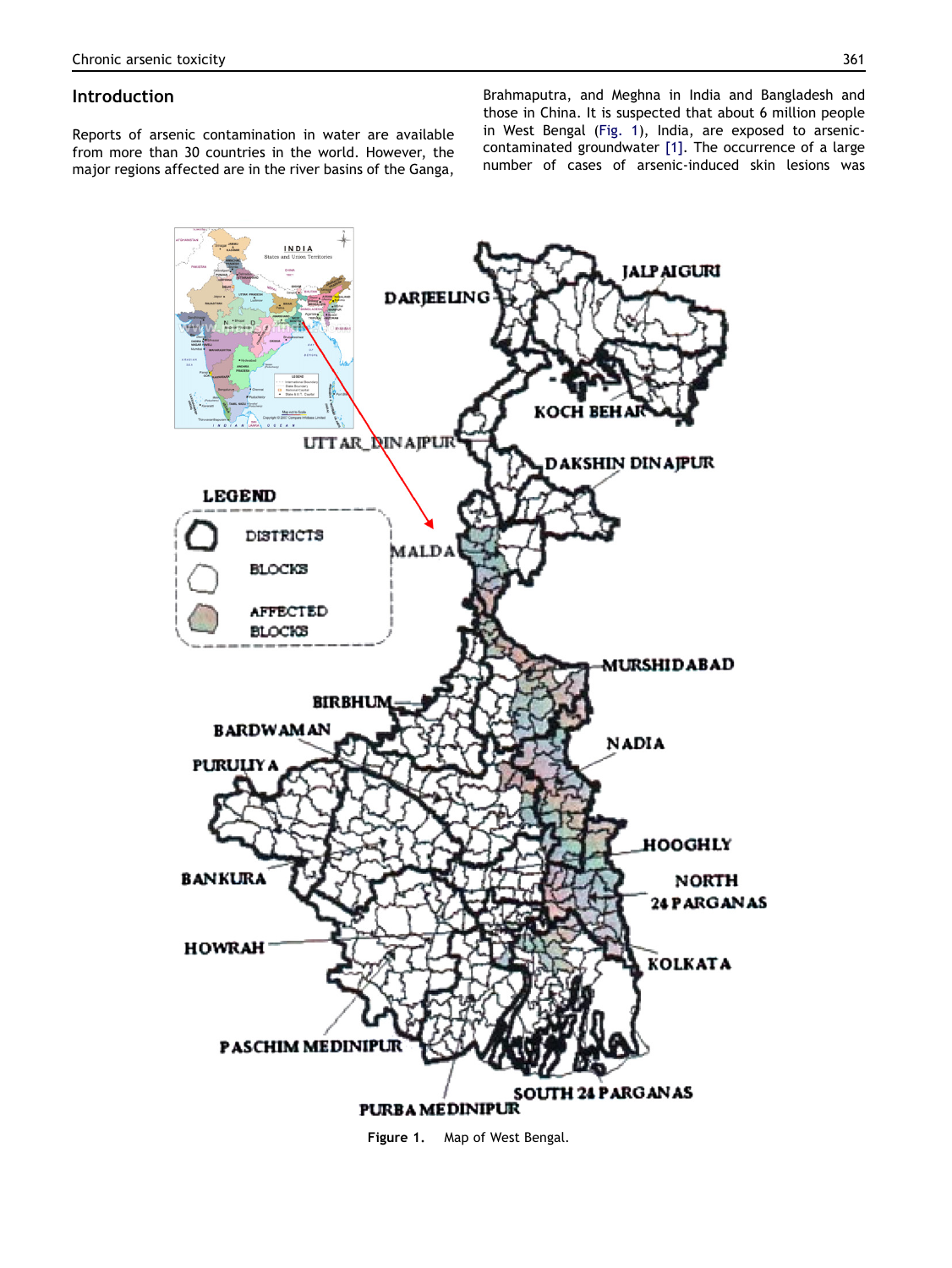# **Introduction**

Reports of arsenic contamination in water are available from more than 30 countries in the world. However, the major regions affected are in the river basins of the Ganga,

Brahmaputra, and Meghna in India and Bangladesh and those in China. It is suspected that about 6 million people in West Bengal (Fig. 1), India, are exposed to arseniccontaminated groundwater [\[1\].](#page-8-0) The occurrence of a large number of cases of arsenic-induced skin lesions was



Figure 1. Map of West Bengal.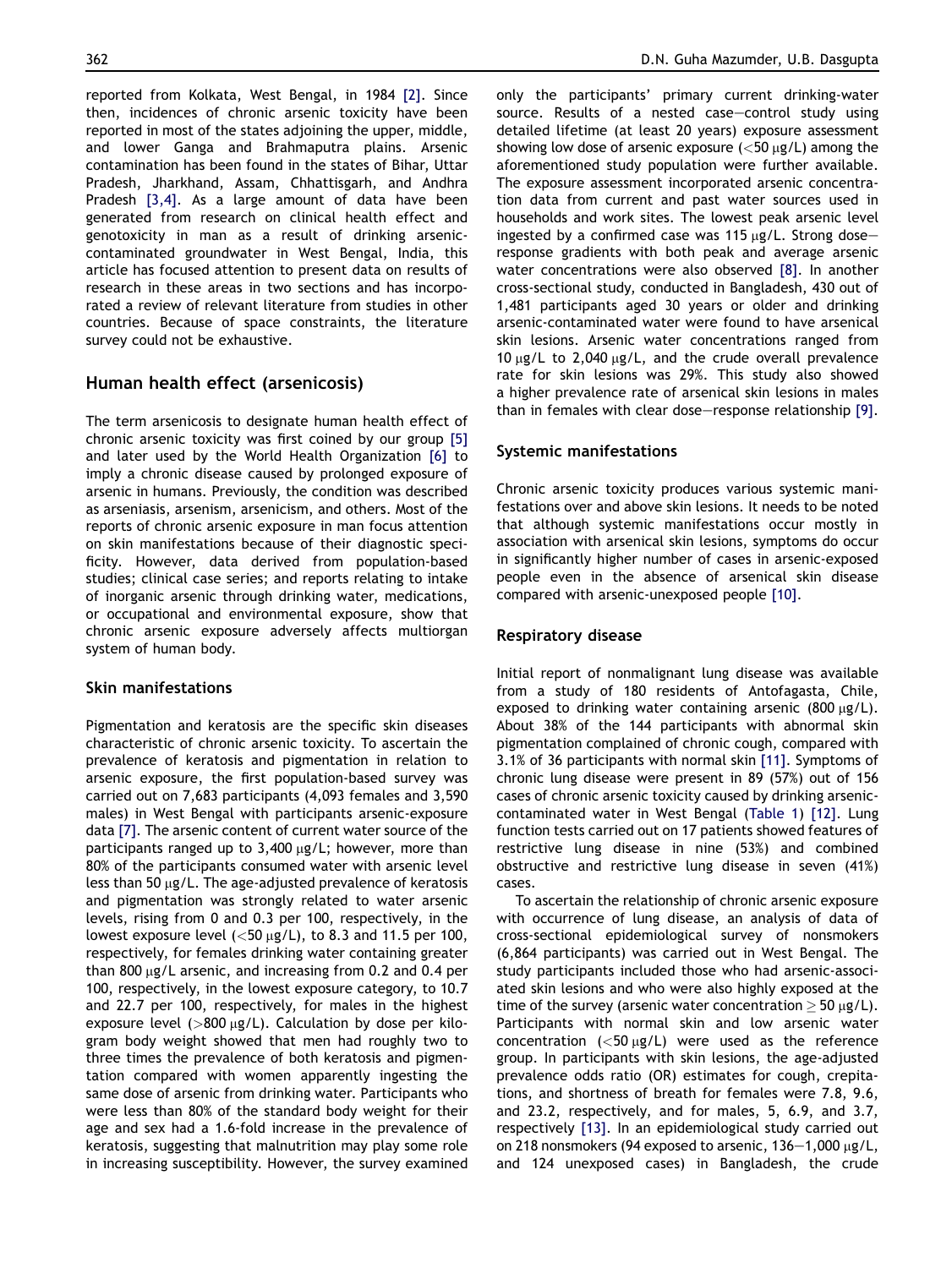reported from Kolkata, West Bengal, in 1984 [\[2\]](#page-8-0). Since then, incidences of chronic arsenic toxicity have been reported in most of the states adjoining the upper, middle, and lower Ganga and Brahmaputra plains. Arsenic contamination has been found in the states of Bihar, Uttar Pradesh, Jharkhand, Assam, Chhattisgarh, and Andhra Pradesh [\[3,4\].](#page-8-0) As a large amount of data have been generated from research on clinical health effect and genotoxicity in man as a result of drinking arseniccontaminated groundwater in West Bengal, India, this article has focused attention to present data on results of research in these areas in two sections and has incorporated a review of relevant literature from studies in other countries. Because of space constraints, the literature survey could not be exhaustive.

# Human health effect (arsenicosis)

The term arsenicosis to designate human health effect of chronic arsenic toxicity was first coined by our group [\[5\]](#page-8-0) and later used by the World Health Organization [\[6\]](#page-8-0) to imply a chronic disease caused by prolonged exposure of arsenic in humans. Previously, the condition was described as arseniasis, arsenism, arsenicism, and others. Most of the reports of chronic arsenic exposure in man focus attention on skin manifestations because of their diagnostic specificity. However, data derived from population-based studies; clinical case series; and reports relating to intake of inorganic arsenic through drinking water, medications, or occupational and environmental exposure, show that chronic arsenic exposure adversely affects multiorgan system of human body.

# Skin manifestations

Pigmentation and keratosis are the specific skin diseases characteristic of chronic arsenic toxicity. To ascertain the prevalence of keratosis and pigmentation in relation to arsenic exposure, the first population-based survey was carried out on 7,683 participants (4,093 females and 3,590 males) in West Bengal with participants arsenic-exposure data [\[7\]](#page-8-0). The arsenic content of current water source of the participants ranged up to  $3,400 \mu$ g/L; however, more than 80% of the participants consumed water with arsenic level less than 50  $\mu$ g/L. The age-adjusted prevalence of keratosis and pigmentation was strongly related to water arsenic levels, rising from 0 and 0.3 per 100, respectively, in the lowest exposure level ( $<$ 50  $\mu$ g/L), to 8.3 and 11.5 per 100, respectively, for females drinking water containing greater than 800  $\mu$ g/L arsenic, and increasing from 0.2 and 0.4 per 100, respectively, in the lowest exposure category, to 10.7 and 22.7 per 100, respectively, for males in the highest exposure level ( $>800 \mu g/L$ ). Calculation by dose per kilogram body weight showed that men had roughly two to three times the prevalence of both keratosis and pigmentation compared with women apparently ingesting the same dose of arsenic from drinking water. Participants who were less than 80% of the standard body weight for their age and sex had a 1.6-fold increase in the prevalence of keratosis, suggesting that malnutrition may play some role in increasing susceptibility. However, the survey examined only the participants' primary current drinking-water source. Results of a nested case-control study using detailed lifetime (at least 20 years) exposure assessment showing low dose of arsenic exposure  $(<50 \text{ kg/L})$  among the aforementioned study population were further available. The exposure assessment incorporated arsenic concentration data from current and past water sources used in households and work sites. The lowest peak arsenic level ingested by a confirmed case was 115  $\mu$ g/L. Strong doseresponse gradients with both peak and average arsenic water concentrations were also observed [\[8\]](#page-8-0). In another cross-sectional study, conducted in Bangladesh, 430 out of 1,481 participants aged 30 years or older and drinking arsenic-contaminated water were found to have arsenical skin lesions. Arsenic water concentrations ranged from 10  $\mu$ g/L to 2,040  $\mu$ g/L, and the crude overall prevalence rate for skin lesions was 29%. This study also showed a higher prevalence rate of arsenical skin lesions in males than in females with clear dose-response relationship  $[9]$ .

# Systemic manifestations

Chronic arsenic toxicity produces various systemic manifestations over and above skin lesions. It needs to be noted that although systemic manifestations occur mostly in association with arsenical skin lesions, symptoms do occur in significantly higher number of cases in arsenic-exposed people even in the absence of arsenical skin disease compared with arsenic-unexposed people [\[10\].](#page-8-0)

# Respiratory disease

Initial report of nonmalignant lung disease was available from a study of 180 residents of Antofagasta, Chile, exposed to drinking water containing arsenic  $(800 \mu g/L)$ . About 38% of the 144 participants with abnormal skin pigmentation complained of chronic cough, compared with 3.1% of 36 participants with normal skin [\[11\].](#page-8-0) Symptoms of chronic lung disease were present in 89 (57%) out of 156 cases of chronic arsenic toxicity caused by drinking arseniccontaminated water in West Bengal ([Table 1\)](#page-3-0) [\[12\]](#page-8-0). Lung function tests carried out on 17 patients showed features of restrictive lung disease in nine (53%) and combined obstructive and restrictive lung disease in seven (41%) cases.

To ascertain the relationship of chronic arsenic exposure with occurrence of lung disease, an analysis of data of cross-sectional epidemiological survey of nonsmokers (6,864 participants) was carried out in West Bengal. The study participants included those who had arsenic-associated skin lesions and who were also highly exposed at the time of the survey (arsenic water concentration  $>$  50  $\mu$ g/L). Participants with normal skin and low arsenic water concentration  $(<50 \mu g/L$ ) were used as the referencegroup. In participants with skin lesions, the age-adjusted prevalence odds ratio (OR) estimates for cough, crepitations, and shortness of breath for females were 7.8, 9.6, and 23.2, respectively, and for males, 5, 6.9, and 3.7, respectively [\[13\].](#page-8-0) In an epidemiological study carried out on 218 nonsmokers (94 exposed to arsenic,  $136-1,000 \mu$ g/L, and 124 unexposed cases) in Bangladesh, the crude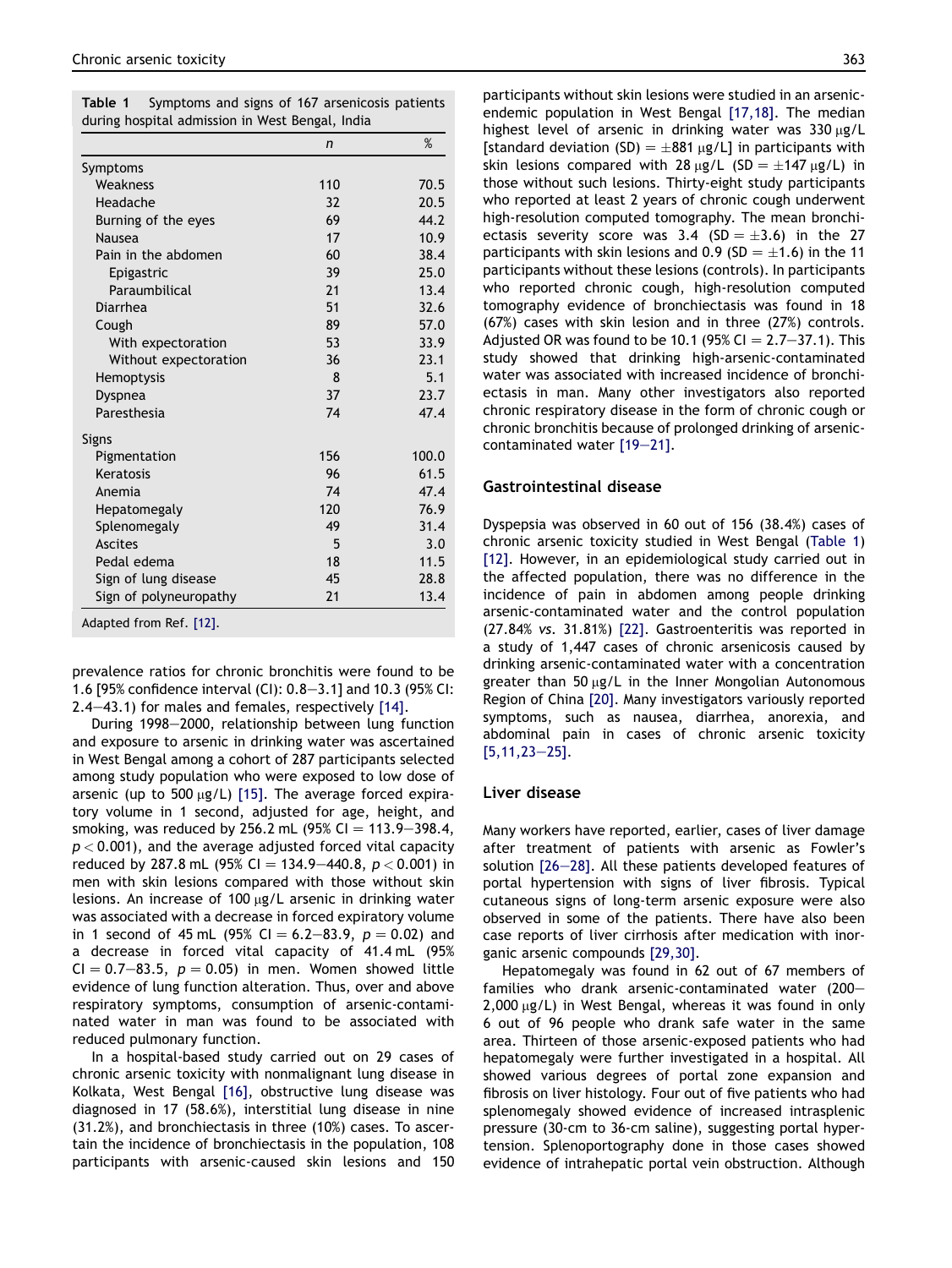<span id="page-3-0"></span>

| <b>Table 1</b> Symptoms and signs of 167 arsenicosis patients |  |  |
|---------------------------------------------------------------|--|--|
| during hospital admission in West Bengal, India               |  |  |

|                        | n   | %     |
|------------------------|-----|-------|
| Symptoms               |     |       |
| Weakness               | 110 | 70.5  |
| Headache               | 32  | 20.5  |
| Burning of the eyes    | 69  | 44.2  |
| Nausea                 | 17  | 10.9  |
| Pain in the abdomen    | 60  | 38.4  |
| Epigastric             | 39  | 25.0  |
| Paraumbilical          | 21  | 13.4  |
| Diarrhea               | 51  | 32.6  |
| Cough                  | 89  | 57.0  |
| With expectoration     | 53  | 33.9  |
| Without expectoration  | 36  | 23.1  |
| Hemoptysis             | 8   | 5.1   |
| Dyspnea                | 37  | 23.7  |
| Paresthesia            | 74  | 47.4  |
| Signs                  |     |       |
| Pigmentation           | 156 | 100.0 |
| Keratosis              | 96  | 61.5  |
| Anemia                 | 74  | 47.4  |
| Hepatomegaly           | 120 | 76.9  |
| Splenomegaly           | 49  | 31.4  |
| <b>Ascites</b>         | 5   | 3.0   |
| Pedal edema            | 18  | 11.5  |
| Sign of lung disease   | 45  | 28.8  |
| Sign of polyneuropathy | 21  | 13.4  |

prevalence ratios for chronic bronchitis were found to be 1.6 [95% confidence interval (CI):  $0.8-3.1$ ] and 10.3 (95% CI:  $2.4-43.1$ ) for males and females, respectively [\[14\].](#page-8-0)

During 1998-2000, relationship between lung function and exposure to arsenic in drinking water was ascertained in West Bengal among a cohort of 287 participants selected among study population who were exposed to low dose of arsenic (up to  $500 \mu g/L$ ) [\[15\].](#page-8-0) The average forced expiratory volume in 1 second, adjusted for age, height, and smoking, was reduced by 256.2 mL (95% CI =  $113.9 - 398.4$ ,  $p < 0.001$ ), and the average adjusted forced vital capacity reduced by 287.8 mL (95% CI = 134.9-440.8,  $p < 0.001$ ) in men with skin lesions compared with those without skin lesions. An increase of 100  $\mu$ g/L arsenic in drinking water was associated with a decrease in forced expiratory volume in 1 second of 45 mL (95% CI = 6.2–83.9,  $p = 0.02$ ) and a decrease in forced vital capacity of 41.4 mL (95%  $CI = 0.7-83.5$ ,  $p = 0.05$ ) in men. Women showed little evidence of lung function alteration. Thus, over and above respiratory symptoms, consumption of arsenic-contaminated water in man was found to be associated with reduced pulmonary function.

In a hospital-based study carried out on 29 cases of chronic arsenic toxicity with nonmalignant lung disease in Kolkata, West Bengal [\[16\]](#page-8-0), obstructive lung disease was diagnosed in 17 (58.6%), interstitial lung disease in nine (31.2%), and bronchiectasis in three (10%) cases. To ascertain the incidence of bronchiectasis in the population, 108 participants with arsenic-caused skin lesions and 150 participants without skin lesions were studied in an arsenicendemic population in West Bengal [\[17,18\].](#page-8-0) The median highest level of arsenic in drinking water was  $330 \mu g/L$ [standard deviation (SD) =  $\pm$ 881 µg/L] in participants with skin lesions compared with 28  $\mu$ g/L (SD =  $\pm$ 147  $\mu$ g/L) in those without such lesions. Thirty-eight study participants who reported at least 2 years of chronic cough underwent high-resolution computed tomography. The mean bronchiectasis severity score was 3.4 (SD =  $\pm$ 3.6) in the 27 participants with skin lesions and 0.9 (SD =  $\pm$ 1.6) in the 11 participants without these lesions (controls). In participants who reported chronic cough, high-resolution computed tomography evidence of bronchiectasis was found in 18 (67%) cases with skin lesion and in three (27%) controls. Adjusted OR was found to be 10.1 (95% CI  $= 2.7 - 37.1$ ). This study showed that drinking high-arsenic-contaminated water was associated with increased incidence of bronchiectasis in man. Many other investigators also reported chronic respiratory disease in the form of chronic cough or chronic bronchitis because of prolonged drinking of arseniccontaminated water  $[19-21]$  $[19-21]$ .

# Gastrointestinal disease

Dyspepsia was observed in 60 out of 156 (38.4%) cases of chronic arsenic toxicity studied in West Bengal (Table 1) [\[12\]](#page-8-0). However, in an epidemiological study carried out in the affected population, there was no difference in the incidence of pain in abdomen among people drinking arsenic-contaminated water and the control population (27.84% vs. 31.81%) [\[22\]](#page-8-0). Gastroenteritis was reported in a study of 1,447 cases of chronic arsenicosis caused by drinking arsenic-contaminated water with a concentration greater than 50  $\mu$ g/L in the Inner Mongolian Autonomous Region of China [\[20\]](#page-8-0). Many investigators variously reported symptoms, such as nausea, diarrhea, anorexia, and abdominal pain in cases of chronic arsenic toxicity  $[5,11,23-25]$  $[5,11,23-25]$ .

# Liver disease

Many workers have reported, earlier, cases of liver damage after treatment of patients with arsenic as Fowler's solution  $[26-28]$  $[26-28]$ . All these patients developed features of portal hypertension with signs of liver fibrosis. Typical cutaneous signs of long-term arsenic exposure were also observed in some of the patients. There have also been case reports of liver cirrhosis after medication with inorganic arsenic compounds [\[29,30\]](#page-9-0).

Hepatomegaly was found in 62 out of 67 members of families who drank arsenic-contaminated water  $(200 2,000 \,\mu g/L$ ) in West Bengal, whereas it was found in only 6 out of 96 people who drank safe water in the same area. Thirteen of those arsenic-exposed patients who had hepatomegaly were further investigated in a hospital. All showed various degrees of portal zone expansion and fibrosis on liver histology. Four out of five patients who had splenomegaly showed evidence of increased intrasplenic pressure (30-cm to 36-cm saline), suggesting portal hypertension. Splenoportography done in those cases showed evidence of intrahepatic portal vein obstruction. Although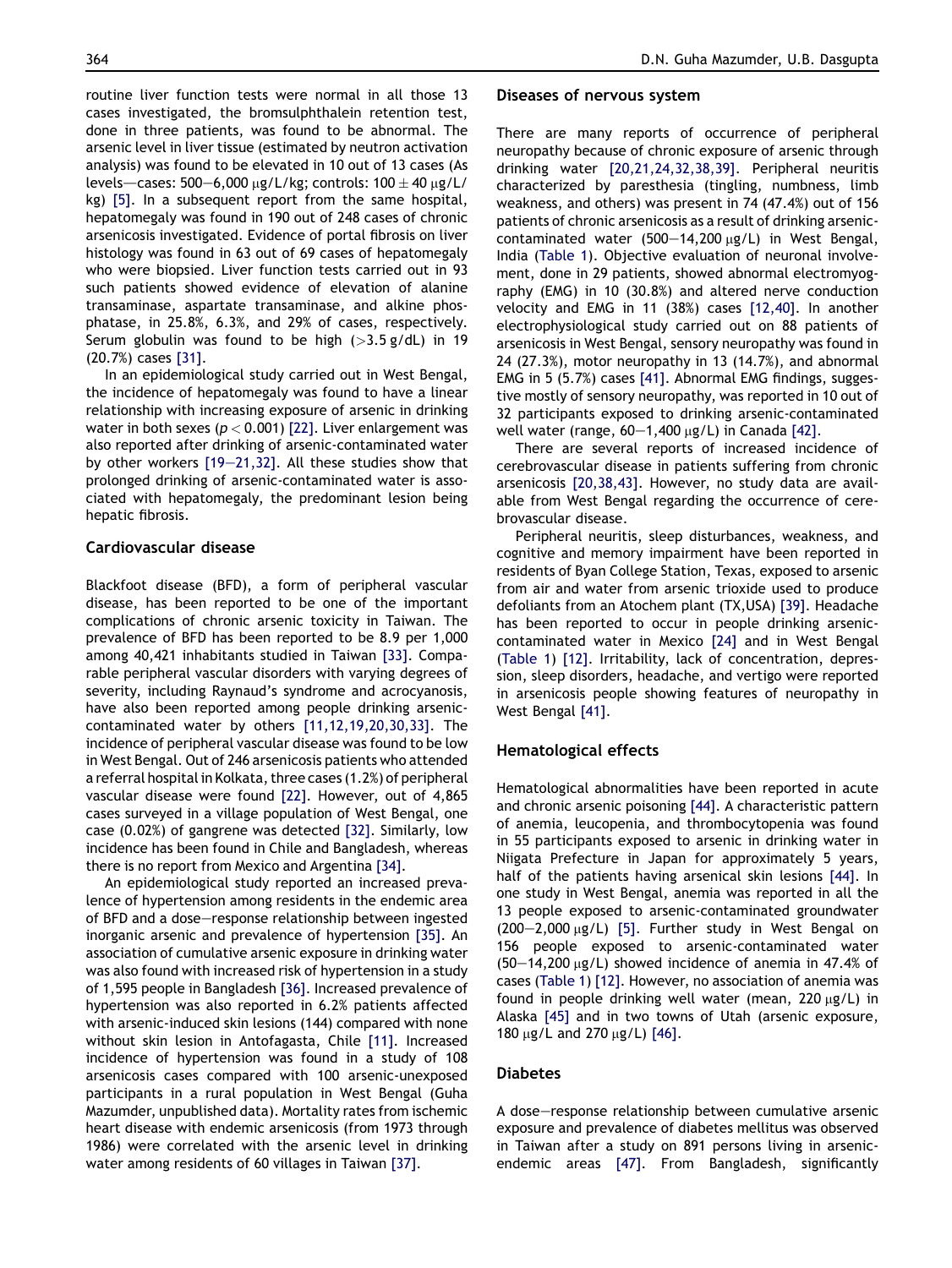routine liver function tests were normal in all those 13 cases investigated, the bromsulphthalein retention test, done in three patients, was found to be abnormal. The arsenic level in liver tissue (estimated by neutron activation analysis) was found to be elevated in 10 out of 13 cases (As levels—cases: 500-6,000  $\mu$ g/L/kg; controls: 100  $\pm$  40  $\mu$ g/L/ kg) [\[5\].](#page-8-0) In a subsequent report from the same hospital, hepatomegaly was found in 190 out of 248 cases of chronic arsenicosis investigated. Evidence of portal fibrosis on liver histology was found in 63 out of 69 cases of hepatomegaly who were biopsied. Liver function tests carried out in 93 such patients showed evidence of elevation of alanine transaminase, aspartate transaminase, and alkine phosphatase, in 25.8%, 6.3%, and 29% of cases, respectively. Serum globulin was found to be high  $(>3.5 \text{ g}/\text{dL})$  in 19 (20.7%) cases [\[31\]](#page-9-0).

In an epidemiological study carried out in West Bengal, the incidence of hepatomegaly was found to have a linear relationship with increasing exposure of arsenic in drinking water in both sexes ( $p < 0.001$ ) [\[22\]](#page-8-0). Liver enlargement was also reported after drinking of arsenic-contaminated water by other workers  $[19-21,32]$  $[19-21,32]$ . All these studies show that prolonged drinking of arsenic-contaminated water is associated with hepatomegaly, the predominant lesion being hepatic fibrosis.

# Cardiovascular disease

Blackfoot disease (BFD), a form of peripheral vascular disease, has been reported to be one of the important complications of chronic arsenic toxicity in Taiwan. The prevalence of BFD has been reported to be 8.9 per 1,000 among 40,421 inhabitants studied in Taiwan [\[33\]](#page-9-0). Comparable peripheral vascular disorders with varying degrees of severity, including Raynaud's syndrome and acrocyanosis, have also been reported among people drinking arseniccontaminated water by others [\[11,12,19,20,30,33\].](#page-8-0) The incidence of peripheral vascular disease was found to be low in West Bengal. Out of 246 arsenicosis patients who attended a referral hospital in Kolkata, three cases (1.2%) of peripheral vascular disease were found [\[22\].](#page-8-0) However, out of 4,865 cases surveyed in a village population of West Bengal, one case (0.02%) of gangrene was detected [\[32\].](#page-9-0) Similarly, low incidence has been found in Chile and Bangladesh, whereas there is no report from Mexico and Argentina [\[34\]](#page-9-0).

An epidemiological study reported an increased prevalence of hypertension among residents in the endemic area of BFD and a dose-response relationship between ingested inorganic arsenic and prevalence of hypertension [\[35\].](#page-9-0) An association of cumulative arsenic exposure in drinking water was also found with increased risk of hypertension in a study of 1,595 people in Bangladesh [\[36\]](#page-9-0). Increased prevalence of hypertension was also reported in 6.2% patients affected with arsenic-induced skin lesions (144) compared with none without skin lesion in Antofagasta, Chile [\[11\]](#page-8-0). Increased incidence of hypertension was found in a study of 108 arsenicosis cases compared with 100 arsenic-unexposed participants in a rural population in West Bengal (Guha Mazumder, unpublished data). Mortality rates from ischemic heart disease with endemic arsenicosis (from 1973 through 1986) were correlated with the arsenic level in drinking water among residents of 60 villages in Taiwan [\[37\].](#page-9-0)

## Diseases of nervous system

There are many reports of occurrence of peripheral neuropathy because of chronic exposure of arsenic through drinking water [\[20,21,24,32,38,39\]](#page-8-0). Peripheral neuritis characterized by paresthesia (tingling, numbness, limb weakness, and others) was present in 74 (47.4%) out of 156 patients of chronic arsenicosis as a result of drinking arseniccontaminated water (500-14,200  $\mu$ g/L) in West Bengal, India ([Table 1\)](#page-3-0). Objective evaluation of neuronal involvement, done in 29 patients, showed abnormal electromyography (EMG) in 10 (30.8%) and altered nerve conduction velocity and EMG in 11 (38%) cases [\[12,40\].](#page-8-0) In another electrophysiological study carried out on 88 patients of arsenicosis in West Bengal, sensory neuropathy was found in 24 (27.3%), motor neuropathy in 13 (14.7%), and abnormal EMG in 5 (5.7%) cases [\[41\]](#page-9-0). Abnormal EMG findings, suggestive mostly of sensory neuropathy, was reported in 10 out of 32 participants exposed to drinking arsenic-contaminated well water (range,  $60-1,400 \mu g/L$ ) in Canada [\[42\]](#page-9-0).

There are several reports of increased incidence of cerebrovascular disease in patients suffering from chronic arsenicosis [\[20,38,43\]](#page-8-0). However, no study data are available from West Bengal regarding the occurrence of cerebrovascular disease.

Peripheral neuritis, sleep disturbances, weakness, and cognitive and memory impairment have been reported in residents of Byan College Station, Texas, exposed to arsenic from air and water from arsenic trioxide used to produce defoliants from an Atochem plant (TX,USA) [\[39\]](#page-9-0). Headache has been reported to occur in people drinking arseniccontaminated water in Mexico [\[24\]](#page-9-0) and in West Bengal [\(Table 1\)](#page-3-0) [\[12\]](#page-8-0). Irritability, lack of concentration, depression, sleep disorders, headache, and vertigo were reported in arsenicosis people showing features of neuropathy in West Bengal [\[41\]](#page-9-0).

#### Hematological effects

Hematological abnormalities have been reported in acute and chronic arsenic poisoning [\[44\].](#page-9-0) A characteristic pattern of anemia, leucopenia, and thrombocytopenia was found in 55 participants exposed to arsenic in drinking water in Niigata Prefecture in Japan for approximately 5 years, half of the patients having arsenical skin lesions [\[44\]](#page-9-0). In one study in West Bengal, anemia was reported in all the 13 people exposed to arsenic-contaminated groundwater  $(200-2,000 \mu g/L)$  [\[5\].](#page-8-0) Further study in West Bengal on 156 people exposed to arsenic-contaminated water  $(50-14,200 \,\mu g/L)$  showed incidence of anemia in 47.4% of cases ([Table 1\)](#page-3-0) [\[12\]](#page-8-0). However, no association of anemia was found in people drinking well water (mean,  $220 \mu g/L$ ) in Alaska [\[45\]](#page-9-0) and in two towns of Utah (arsenic exposure, 180  $\mu$ g/L and 270  $\mu$ g/L) [\[46\].](#page-9-0)

#### Diabetes

A dose-response relationship between cumulative arsenic exposure and prevalence of diabetes mellitus was observed in Taiwan after a study on 891 persons living in arsenicendemic areas [\[47\]](#page-9-0). From Bangladesh, significantly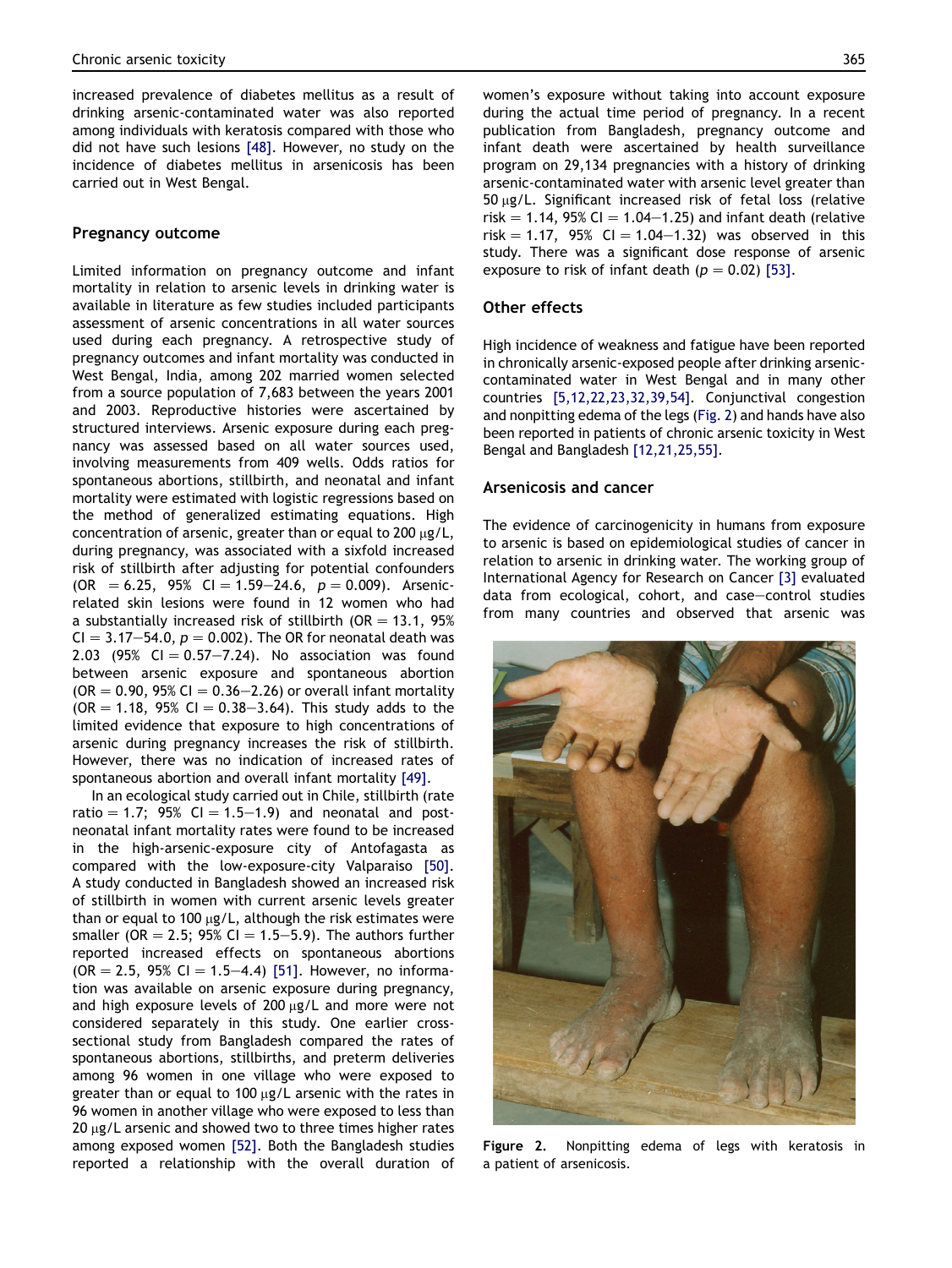increased prevalence of diabetes mellitus as a result of drinking arsenic-contaminated water was also reported among individuals with keratosis compared with those who did not have such lesions [\[48\]](#page-9-0). However, no study on the incidence of diabetes mellitus in arsenicosis has been carried out in West Bengal.

# Pregnancy outcome

Limited information on pregnancy outcome and infant mortality in relation to arsenic levels in drinking water is available in literature as few studies included participants assessment of arsenic concentrations in all water sources used during each pregnancy. A retrospective study of pregnancy outcomes and infant mortality was conducted in West Bengal, India, among 202 married women selected from a source population of 7,683 between the years 2001 and 2003. Reproductive histories were ascertained by structured interviews. Arsenic exposure during each pregnancy was assessed based on all water sources used, involving measurements from 409 wells. Odds ratios for spontaneous abortions, stillbirth, and neonatal and infant mortality were estimated with logistic regressions based on the method of generalized estimating equations. High concentration of arsenic, greater than or equal to 200  $\mu$ g/L, during pregnancy, was associated with a sixfold increased risk of stillbirth after adjusting for potential confounders  $(OR = 6.25, 95\% \text{ CI} = 1.59-24.6, p = 0.009).$  Arsenicrelated skin lesions were found in 12 women who had a substantially increased risk of stillbirth (OR  $=$  13.1, 95%  $CI = 3.17-54.0$ ,  $p = 0.002$ ). The OR for neonatal death was 2.03 (95% CI  $= 0.57 - 7.24$ ). No association was found between arsenic exposure and spontaneous abortion  $(OR = 0.90, 95\% CI = 0.36 - 2.26)$  or overall infant mortality  $(OR = 1.18, 95\% \text{ CI} = 0.38-3.64)$ . This study adds to the limited evidence that exposure to high concentrations of arsenic during pregnancy increases the risk of stillbirth. However, there was no indication of increased rates of spontaneous abortion and overall infant mortality [\[49\].](#page-9-0)

In an ecological study carried out in Chile, stillbirth (rate ratio  $= 1.7$ ; 95% CI  $= 1.5-1.9$ ) and neonatal and postneonatal infant mortality rates were found to be increased in the high-arsenic-exposure city of Antofagasta as compared with the low-exposure-city Valparaiso [\[50\]](#page-9-0). A study conducted in Bangladesh showed an increased risk of stillbirth in women with current arsenic levels greater than or equal to 100  $\mu$ g/L, although the risk estimates were smaller (OR = 2.5; 95% CI = 1.5-5.9). The authors further reported increased effects on spontaneous abortions  $(OR = 2.5, 95\% \text{ CI} = 1.5-4.4)$  [\[51\].](#page-9-0) However, no information was available on arsenic exposure during pregnancy, and high exposure levels of  $200 \mu g/L$  and more were not considered separately in this study. One earlier crosssectional study from Bangladesh compared the rates of spontaneous abortions, stillbirths, and preterm deliveries among 96 women in one village who were exposed to greater than or equal to 100  $\mu$ g/L arsenic with the rates in 96 women in another village who were exposed to less than  $20 \mu g/L$  arsenic and showed two to three times higher rates among exposed women [\[52\].](#page-9-0) Both the Bangladesh studies reported a relationship with the overall duration of

women's exposure without taking into account exposure during the actual time period of pregnancy. In a recent publication from Bangladesh, pregnancy outcome and infant death were ascertained by health surveillance program on 29,134 pregnancies with a history of drinking arsenic-contaminated water with arsenic level greater than  $50 \mu g/L$ . Significant increased risk of fetal loss (relative risk  $= 1.14$ , 95% CI  $= 1.04 - 1.25$ ) and infant death (relative  $risk = 1.17$ , 95% CI = 1.04-1.32) was observed in this study. There was a significant dose response of arsenic exposure to risk of infant death ( $p = 0.02$ ) [\[53\]](#page-9-0).

# Other effects

High incidence of weakness and fatigue have been reported in chronically arsenic-exposed people after drinking arseniccontaminated water in West Bengal and in many other countries [\[5,12,22,23,32,39,54\].](#page-8-0) Conjunctival congestion and nonpitting edema of the legs (Fig. 2) and hands have also been reported in patients of chronic arsenic toxicity in West Bengal and Bangladesh [\[12,21,25,55\]](#page-8-0).

# Arsenicosis and cancer

The evidence of carcinogenicity in humans from exposure to arsenic is based on epidemiological studies of cancer in relation to arsenic in drinking water. The working group of International Agency for Research on Cancer [\[3\]](#page-8-0) evaluated data from ecological, cohort, and case-control studies from many countries and observed that arsenic was



Figure 2. Nonpitting edema of legs with keratosis in a patient of arsenicosis.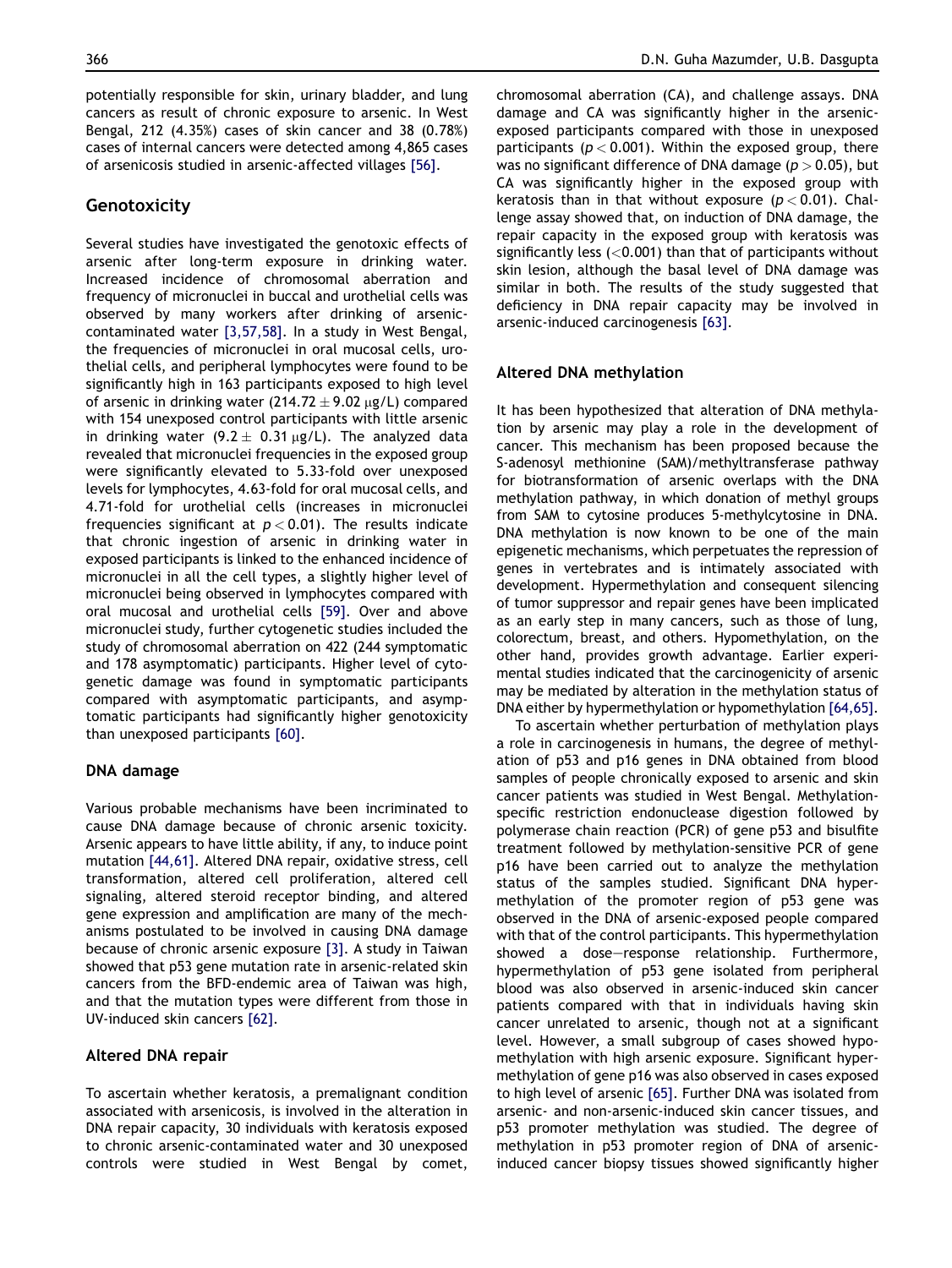potentially responsible for skin, urinary bladder, and lung cancers as result of chronic exposure to arsenic. In West Bengal, 212 (4.35%) cases of skin cancer and 38 (0.78%) cases of internal cancers were detected among 4,865 cases of arsenicosis studied in arsenic-affected villages [\[56\].](#page-9-0)

# Genotoxicity

Several studies have investigated the genotoxic effects of arsenic after long-term exposure in drinking water. Increased incidence of chromosomal aberration and frequency of micronuclei in buccal and urothelial cells was observed by many workers after drinking of arseniccontaminated water [\[3,57,58\].](#page-8-0) In a study in West Bengal, the frequencies of micronuclei in oral mucosal cells, urothelial cells, and peripheral lymphocytes were found to be significantly high in 163 participants exposed to high level of arsenic in drinking water  $(214.72 \pm 9.02 \text{ kg/L})$  compared with 154 unexposed control participants with little arsenic in drinking water (9.2  $\pm$  0.31 µg/L). The analyzed data revealed that micronuclei frequencies in the exposed group were significantly elevated to 5.33-fold over unexposed levels for lymphocytes, 4.63-fold for oral mucosal cells, and 4.71-fold for urothelial cells (increases in micronuclei frequencies significant at  $p < 0.01$ ). The results indicate that chronic ingestion of arsenic in drinking water in exposed participants is linked to the enhanced incidence of micronuclei in all the cell types, a slightly higher level of micronuclei being observed in lymphocytes compared with oral mucosal and urothelial cells [\[59\]](#page-9-0). Over and above micronuclei study, further cytogenetic studies included the study of chromosomal aberration on 422 (244 symptomatic and 178 asymptomatic) participants. Higher level of cytogenetic damage was found in symptomatic participants compared with asymptomatic participants, and asymptomatic participants had significantly higher genotoxicity than unexposed participants [\[60\].](#page-9-0)

# DNA damage

Various probable mechanisms have been incriminated to cause DNA damage because of chronic arsenic toxicity. Arsenic appears to have little ability, if any, to induce point mutation [\[44,61\].](#page-9-0) Altered DNA repair, oxidative stress, cell transformation, altered cell proliferation, altered cell signaling, altered steroid receptor binding, and altered gene expression and amplification are many of the mechanisms postulated to be involved in causing DNA damage because of chronic arsenic exposure [\[3\]](#page-8-0). A study in Taiwan showed that p53 gene mutation rate in arsenic-related skin cancers from the BFD-endemic area of Taiwan was high, and that the mutation types were different from those in UV-induced skin cancers [\[62\]](#page-10-0).

# Altered DNA repair

To ascertain whether keratosis, a premalignant condition associated with arsenicosis, is involved in the alteration in DNA repair capacity, 30 individuals with keratosis exposed to chronic arsenic-contaminated water and 30 unexposed controls were studied in West Bengal by comet, chromosomal aberration (CA), and challenge assays. DNA damage and CA was significantly higher in the arsenicexposed participants compared with those in unexposed participants ( $p < 0.001$ ). Within the exposed group, there was no significant difference of DNA damage ( $p > 0.05$ ), but CA was significantly higher in the exposed group with keratosis than in that without exposure ( $p < 0.01$ ). Challenge assay showed that, on induction of DNA damage, the repair capacity in the exposed group with keratosis was significantly less  $(<0.001$ ) than that of participants without skin lesion, although the basal level of DNA damage was similar in both. The results of the study suggested that deficiency in DNA repair capacity may be involved in arsenic-induced carcinogenesis [\[63\]](#page-10-0).

## Altered DNA methylation

It has been hypothesized that alteration of DNA methylation by arsenic may play a role in the development of cancer. This mechanism has been proposed because the S-adenosyl methionine (SAM)/methyltransferase pathway for biotransformation of arsenic overlaps with the DNA methylation pathway, in which donation of methyl groups from SAM to cytosine produces 5-methylcytosine in DNA. DNA methylation is now known to be one of the main epigenetic mechanisms, which perpetuates the repression of genes in vertebrates and is intimately associated with development. Hypermethylation and consequent silencing of tumor suppressor and repair genes have been implicated as an early step in many cancers, such as those of lung, colorectum, breast, and others. Hypomethylation, on the other hand, provides growth advantage. Earlier experimental studies indicated that the carcinogenicity of arsenic may be mediated by alteration in the methylation status of DNA either by hypermethylation or hypomethylation [\[64,65\].](#page-10-0)

To ascertain whether perturbation of methylation plays a role in carcinogenesis in humans, the degree of methylation of p53 and p16 genes in DNA obtained from blood samples of people chronically exposed to arsenic and skin cancer patients was studied in West Bengal. Methylationspecific restriction endonuclease digestion followed by polymerase chain reaction (PCR) of gene p53 and bisulfite treatment followed by methylation-sensitive PCR of gene p16 have been carried out to analyze the methylation status of the samples studied. Significant DNA hypermethylation of the promoter region of p53 gene was observed in the DNA of arsenic-exposed people compared with that of the control participants. This hypermethylation showed a dose-response relationship. Furthermore, hypermethylation of p53 gene isolated from peripheral blood was also observed in arsenic-induced skin cancer patients compared with that in individuals having skin cancer unrelated to arsenic, though not at a significant level. However, a small subgroup of cases showed hypomethylation with high arsenic exposure. Significant hypermethylation of gene p16 was also observed in cases exposed to high level of arsenic [\[65\]](#page-10-0). Further DNA was isolated from arsenic- and non-arsenic-induced skin cancer tissues, and p53 promoter methylation was studied. The degree of methylation in p53 promoter region of DNA of arsenicinduced cancer biopsy tissues showed significantly higher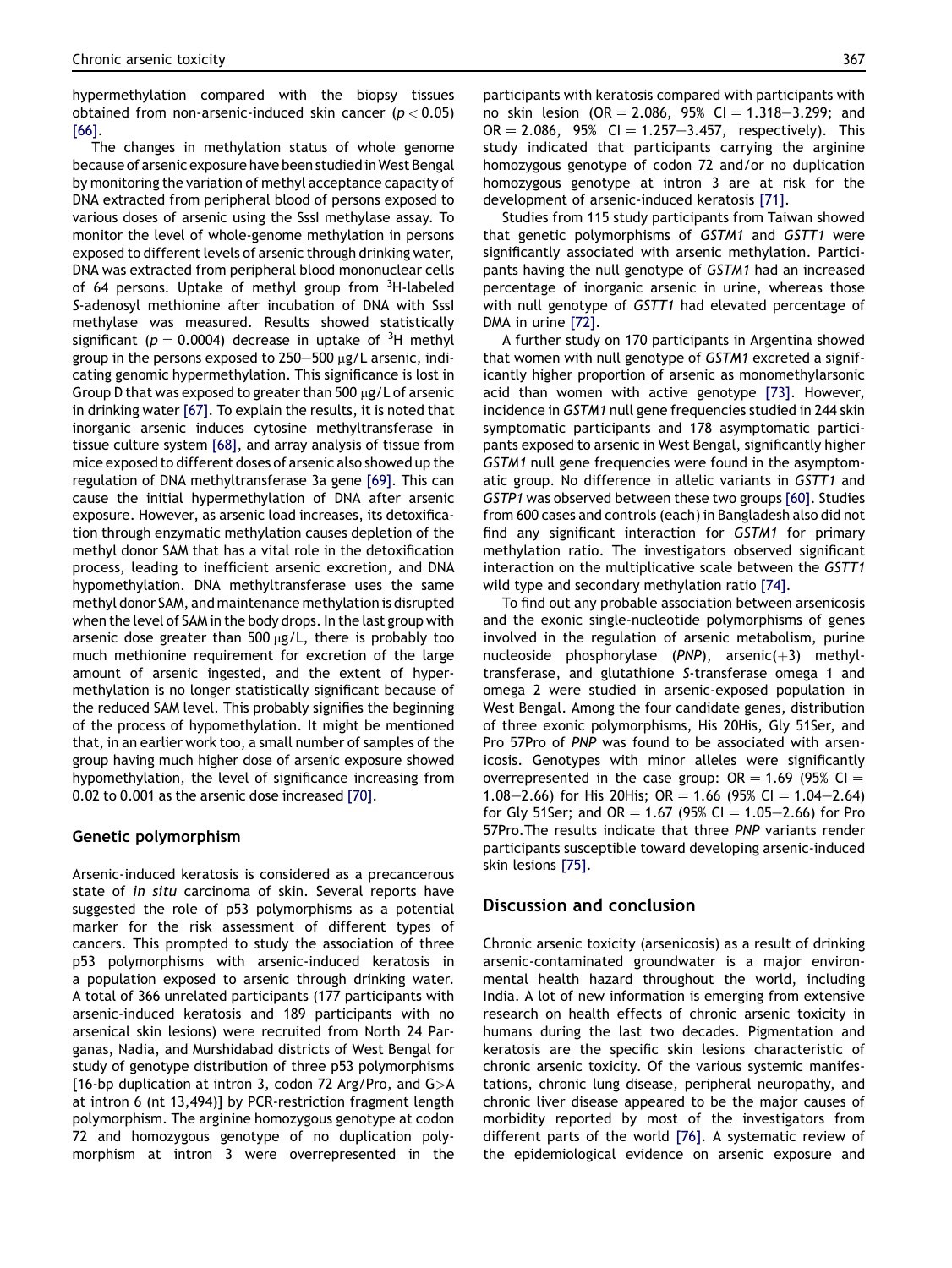hypermethylation compared with the biopsy tissues obtained from non-arsenic-induced skin cancer ( $p < 0.05$ ) [\[66\]](#page-10-0).

The changes in methylation status of whole genome because of arsenic exposure have been studied inWest Bengal by monitoring the variation of methyl acceptance capacity of DNA extracted from peripheral blood of persons exposed to various doses of arsenic using the SssI methylase assay. To monitor the level of whole-genome methylation in persons exposed to different levels of arsenic through drinking water, DNA was extracted from peripheral blood mononuclear cells of 64 persons. Uptake of methyl group from <sup>3</sup>H-labeled S-adenosyl methionine after incubation of DNA with SssI methylase was measured. Results showed statistically significant ( $p = 0.0004$ ) decrease in uptake of <sup>3</sup>H methyl group in the persons exposed to  $250-500$   $\mu$ g/L arsenic, indicating genomic hypermethylation. This significance is lost in Group D that was exposed to greater than 500  $\mu$ g/L of arsenic in drinking water [\[67\]](#page-10-0). To explain the results, it is noted that inorganic arsenic induces cytosine methyltransferase in tissue culture system [\[68\]](#page-10-0), and array analysis of tissue from mice exposed to different doses of arsenic also showed up the regulation of DNA methyltransferase 3a gene [\[69\]](#page-10-0). This can cause the initial hypermethylation of DNA after arsenic exposure. However, as arsenic load increases, its detoxification through enzymatic methylation causes depletion of the methyl donor SAM that has a vital role in the detoxification process, leading to inefficient arsenic excretion, and DNA hypomethylation. DNA methyltransferase uses the same methyl donor SAM, and maintenance methylation is disrupted when the level of SAM in the body drops. In the last group with arsenic dose greater than  $500 \mu g/L$ , there is probably too much methionine requirement for excretion of the large amount of arsenic ingested, and the extent of hypermethylation is no longer statistically significant because of the reduced SAM level. This probably signifies the beginning of the process of hypomethylation. It might be mentioned that, in an earlier work too, a small number of samples of the group having much higher dose of arsenic exposure showed hypomethylation, the level of significance increasing from 0.02 to 0.001 as the arsenic dose increased [\[70\]](#page-10-0).

# Genetic polymorphism

Arsenic-induced keratosis is considered as a precancerous state of in situ carcinoma of skin. Several reports have suggested the role of p53 polymorphisms as a potential marker for the risk assessment of different types of cancers. This prompted to study the association of three p53 polymorphisms with arsenic-induced keratosis in a population exposed to arsenic through drinking water. A total of 366 unrelated participants (177 participants with arsenic-induced keratosis and 189 participants with no arsenical skin lesions) were recruited from North 24 Parganas, Nadia, and Murshidabad districts of West Bengal for study of genotype distribution of three p53 polymorphisms [16-bp duplication at intron 3, codon 72 Arg/Pro, and  $G>A$ at intron 6 (nt 13,494)] by PCR-restriction fragment length polymorphism. The arginine homozygous genotype at codon 72 and homozygous genotype of no duplication polymorphism at intron 3 were overrepresented in the

participants with keratosis compared with participants with no skin lesion (OR = 2.086, 95% CI = 1.318-3.299; and  $OR = 2.086$ , 95% CI = 1.257-3.457, respectively). This study indicated that participants carrying the arginine homozygous genotype of codon 72 and/or no duplication homozygous genotype at intron 3 are at risk for the development of arsenic-induced keratosis [\[71\]](#page-10-0).

Studies from 115 study participants from Taiwan showed that genetic polymorphisms of GSTM1 and GSTT1 were significantly associated with arsenic methylation. Participants having the null genotype of GSTM1 had an increased percentage of inorganic arsenic in urine, whereas those with null genotype of GSTT1 had elevated percentage of DMA in urine [\[72\].](#page-10-0)

A further study on 170 participants in Argentina showed that women with null genotype of GSTM1 excreted a significantly higher proportion of arsenic as monomethylarsonic acid than women with active genotype [\[73\].](#page-10-0) However, incidence in GSTM1 null gene frequencies studied in 244 skin symptomatic participants and 178 asymptomatic participants exposed to arsenic in West Bengal, significantly higher GSTM1 null gene frequencies were found in the asymptomatic group. No difference in allelic variants in GSTT1 and GSTP1 was observed between these two groups [\[60\]](#page-9-0). Studies from 600 cases and controls (each) in Bangladesh also did not find any significant interaction for GSTM1 for primary methylation ratio. The investigators observed significant interaction on the multiplicative scale between the GSTT1 wild type and secondary methylation ratio [\[74\].](#page-10-0)

To find out any probable association between arsenicosis and the exonic single-nucleotide polymorphisms of genes involved in the regulation of arsenic metabolism, purine nucleoside phosphorylase (PNP), arsenic $(+3)$  methyltransferase, and glutathione S-transferase omega 1 and omega 2 were studied in arsenic-exposed population in West Bengal. Among the four candidate genes, distribution of three exonic polymorphisms, His 20His, Gly 51Ser, and Pro 57Pro of PNP was found to be associated with arsenicosis. Genotypes with minor alleles were significantly overrepresented in the case group:  $OR = 1.69$  (95% CI  $=$ 1.08–2.66) for His 20His; OR = 1.66 (95% CI = 1.04–2.64) for Gly 51Ser; and OR = 1.67 (95% CI = 1.05–2.66) for Pro 57Pro.The results indicate that three PNP variants render participants susceptible toward developing arsenic-induced skin lesions [\[75\]](#page-10-0).

# Discussion and conclusion

Chronic arsenic toxicity (arsenicosis) as a result of drinking arsenic-contaminated groundwater is a major environmental health hazard throughout the world, including India. A lot of new information is emerging from extensive research on health effects of chronic arsenic toxicity in humans during the last two decades. Pigmentation and keratosis are the specific skin lesions characteristic of chronic arsenic toxicity. Of the various systemic manifestations, chronic lung disease, peripheral neuropathy, and chronic liver disease appeared to be the major causes of morbidity reported by most of the investigators from different parts of the world [\[76\].](#page-10-0) A systematic review of the epidemiological evidence on arsenic exposure and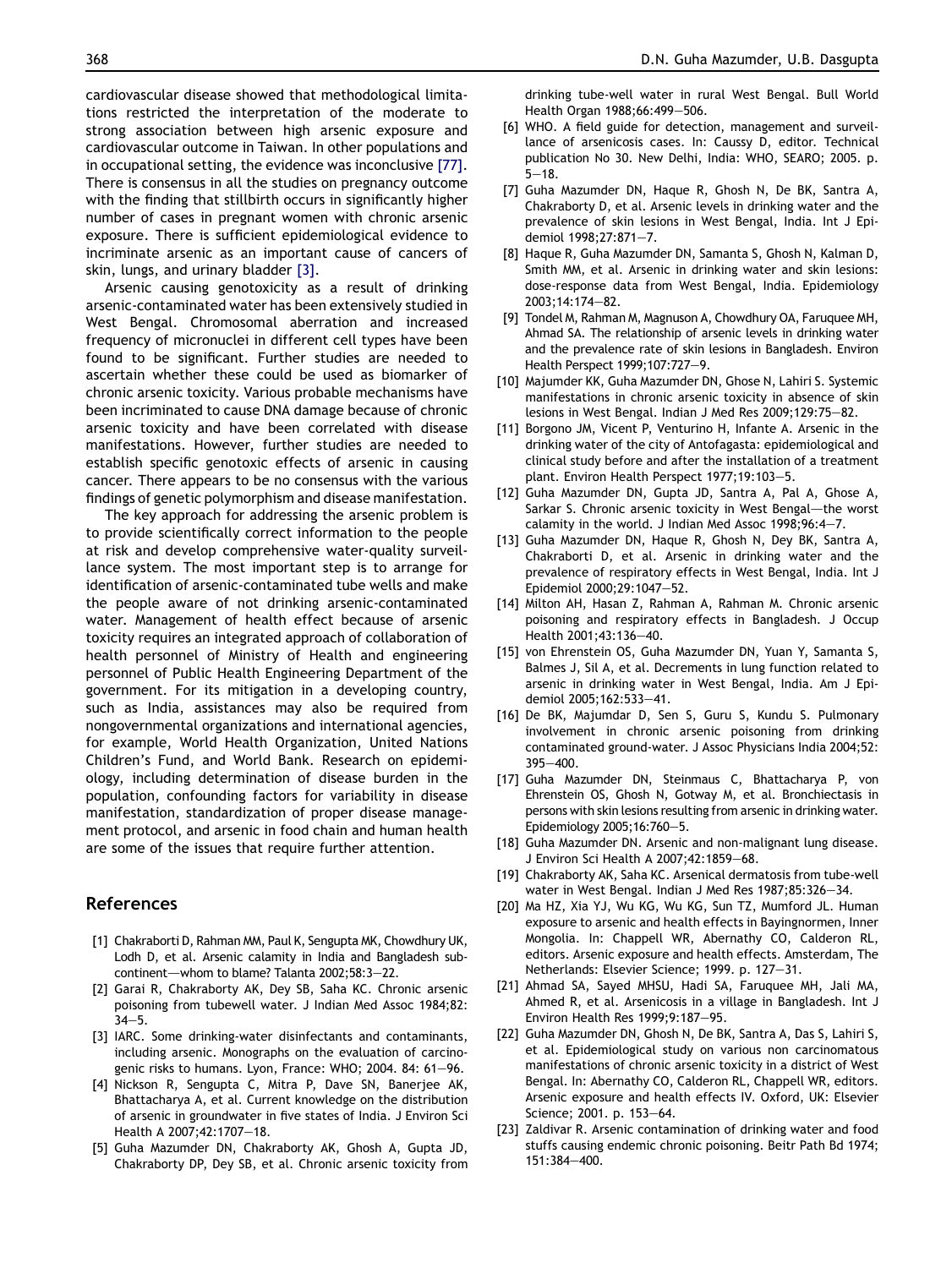<span id="page-8-0"></span>cardiovascular disease showed that methodological limitations restricted the interpretation of the moderate to strong association between high arsenic exposure and cardiovascular outcome in Taiwan. In other populations and in occupational setting, the evidence was inconclusive [\[77\].](#page-10-0) There is consensus in all the studies on pregnancy outcome with the finding that stillbirth occurs in significantly higher number of cases in pregnant women with chronic arsenic exposure. There is sufficient epidemiological evidence to incriminate arsenic as an important cause of cancers of skin, lungs, and urinary bladder [3].

Arsenic causing genotoxicity as a result of drinking arsenic-contaminated water has been extensively studied in West Bengal. Chromosomal aberration and increased frequency of micronuclei in different cell types have been found to be significant. Further studies are needed to ascertain whether these could be used as biomarker of chronic arsenic toxicity. Various probable mechanisms have been incriminated to cause DNA damage because of chronic arsenic toxicity and have been correlated with disease manifestations. However, further studies are needed to establish specific genotoxic effects of arsenic in causing cancer. There appears to be no consensus with the various findings of genetic polymorphism and disease manifestation.

The key approach for addressing the arsenic problem is to provide scientifically correct information to the people at risk and develop comprehensive water-quality surveillance system. The most important step is to arrange for identification of arsenic-contaminated tube wells and make the people aware of not drinking arsenic-contaminated water. Management of health effect because of arsenic toxicity requires an integrated approach of collaboration of health personnel of Ministry of Health and engineering personnel of Public Health Engineering Department of the government. For its mitigation in a developing country, such as India, assistances may also be required from nongovernmental organizations and international agencies, for example, World Health Organization, United Nations Children's Fund, and World Bank. Research on epidemiology, including determination of disease burden in the population, confounding factors for variability in disease manifestation, standardization of proper disease management protocol, and arsenic in food chain and human health are some of the issues that require further attention.

# References

- [1] Chakraborti D, Rahman MM, Paul K, Sengupta MK, Chowdhury UK, Lodh D, et al. Arsenic calamity in India and Bangladesh subcontinent-whom to blame? Talanta 2002;58:3-22.
- [2] Garai R, Chakraborty AK, Dey SB, Saha KC. Chronic arsenic poisoning from tubewell water. J Indian Med Assoc 1984;82:  $34 - 5.$
- [3] IARC. Some drinking-water disinfectants and contaminants, including arsenic. Monographs on the evaluation of carcinogenic risks to humans. Lyon, France: WHO; 2004. 84: 61-96.
- [4] Nickson R, Sengupta C, Mitra P, Dave SN, Banerjee AK, Bhattacharya A, et al. Current knowledge on the distribution of arsenic in groundwater in five states of India. J Environ Sci Health A 2007;42:1707-18.
- [5] Guha Mazumder DN, Chakraborty AK, Ghosh A, Gupta JD, Chakraborty DP, Dey SB, et al. Chronic arsenic toxicity from

drinking tube-well water in rural West Bengal. Bull World Health Organ 1988;66:499-506.

- [6] WHO. A field guide for detection, management and surveillance of arsenicosis cases. In: Caussy D, editor. Technical publication No 30. New Delhi, India: WHO, SEARO; 2005. p.  $5 - 18$ .
- [7] Guha Mazumder DN, Haque R, Ghosh N, De BK, Santra A, Chakraborty D, et al. Arsenic levels in drinking water and the prevalence of skin lesions in West Bengal, India. Int J Epidemiol 1998:27:871-7.
- [8] Haque R, Guha Mazumder DN, Samanta S, Ghosh N, Kalman D, Smith MM, et al. Arsenic in drinking water and skin lesions: dose-response data from West Bengal, India. Epidemiology 2003:14:174-82.
- [9] Tondel M, Rahman M, Magnuson A, Chowdhury OA, Faruquee MH, Ahmad SA. The relationship of arsenic levels in drinking water and the prevalence rate of skin lesions in Bangladesh. Environ Health Perspect 1999;107:727-9.
- [10] Majumder KK, Guha Mazumder DN, Ghose N, Lahiri S. Systemic manifestations in chronic arsenic toxicity in absence of skin lesions in West Bengal. Indian J Med Res 2009;129:75-82.
- [11] Borgono JM, Vicent P, Venturino H, Infante A. Arsenic in the drinking water of the city of Antofagasta: epidemiological and clinical study before and after the installation of a treatment plant. Environ Health Perspect 1977;19:103-5.
- [12] Guha Mazumder DN, Gupta JD, Santra A, Pal A, Ghose A, Sarkar S. Chronic arsenic toxicity in West Bengal-the worst calamity in the world. J Indian Med Assoc  $1998;96:4-7$ .
- [13] Guha Mazumder DN, Haque R, Ghosh N, Dey BK, Santra A, Chakraborti D, et al. Arsenic in drinking water and the prevalence of respiratory effects in West Bengal, India. Int J Epidemiol 2000:29:1047-52.
- [14] Milton AH, Hasan Z, Rahman A, Rahman M. Chronic arsenic poisoning and respiratory effects in Bangladesh. J Occup Health 2001:43:136-40.
- [15] von Ehrenstein OS, Guha Mazumder DN, Yuan Y, Samanta S, Balmes J, Sil A, et al. Decrements in lung function related to arsenic in drinking water in West Bengal, India. Am J Epidemiol 2005;162:533-41.
- [16] De BK, Majumdar D, Sen S, Guru S, Kundu S. Pulmonary involvement in chronic arsenic poisoning from drinking contaminated ground-water. J Assoc Physicians India 2004;52:  $395 - 400$
- [17] Guha Mazumder DN, Steinmaus C, Bhattacharya P, von Ehrenstein OS, Ghosh N, Gotway M, et al. Bronchiectasis in persons with skin lesions resulting from arsenic in drinking water. Epidemiology 2005;16:760-5.
- [18] Guha Mazumder DN. Arsenic and non-malignant lung disease. J Environ Sci Health A 2007; 42: 1859-68.
- [19] Chakraborty AK, Saha KC. Arsenical dermatosis from tube-well water in West Bengal. Indian J Med Res 1987;85:326-34.
- [20] Ma HZ, Xia YJ, Wu KG, Wu KG, Sun TZ, Mumford JL. Human exposure to arsenic and health effects in Bayingnormen, Inner Mongolia. In: Chappell WR, Abernathy CO, Calderon RL, editors. Arsenic exposure and health effects. Amsterdam, The Netherlands: Elsevier Science; 1999. p. 127-31.
- [21] Ahmad SA, Sayed MHSU, Hadi SA, Faruquee MH, Jali MA, Ahmed R, et al. Arsenicosis in a village in Bangladesh. Int J Environ Health Res 1999;9:187-95.
- [22] Guha Mazumder DN, Ghosh N, De BK, Santra A, Das S, Lahiri S, et al. Epidemiological study on various non carcinomatous manifestations of chronic arsenic toxicity in a district of West Bengal. In: Abernathy CO, Calderon RL, Chappell WR, editors. Arsenic exposure and health effects IV. Oxford, UK: Elsevier Science; 2001. p. 153-64.
- [23] Zaldivar R. Arsenic contamination of drinking water and food stuffs causing endemic chronic poisoning. Beitr Path Bd 1974; 151:384-400.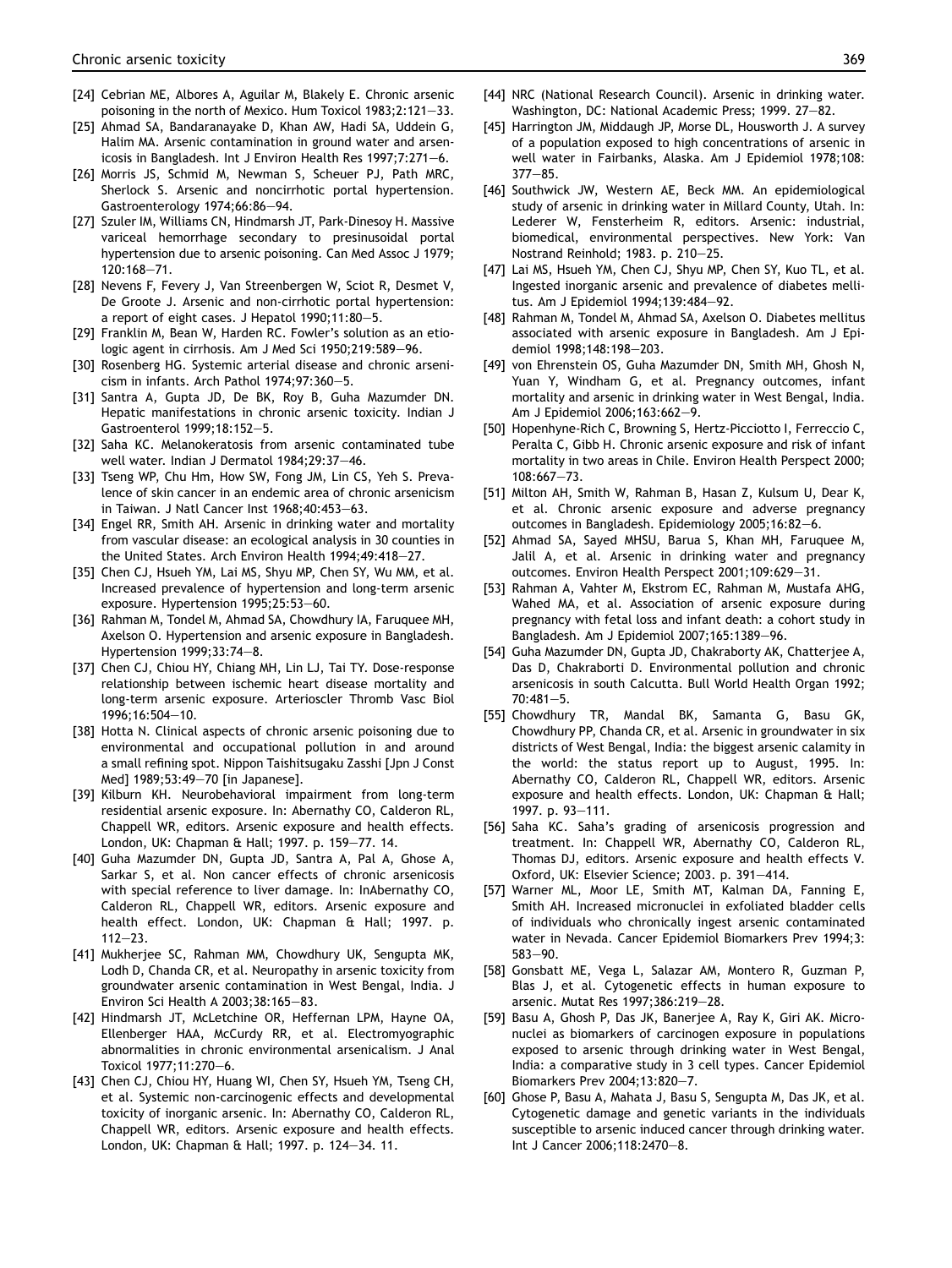- <span id="page-9-0"></span>[24] Cebrian ME, Albores A, Aguilar M, Blakely E. Chronic arsenic poisoning in the north of Mexico. Hum Toxicol  $1983;2:121-33$ .
- [25] Ahmad SA, Bandaranayake D, Khan AW, Hadi SA, Uddein G, Halim MA. Arsenic contamination in ground water and arsenicosis in Bangladesh. Int J Environ Health Res 1997;7:271-6.
- [26] Morris JS, Schmid M, Newman S, Scheuer PJ, Path MRC, Sherlock S. Arsenic and noncirrhotic portal hypertension. Gastroenterology 1974;66:86-94.
- [27] Szuler IM, Williams CN, Hindmarsh JT, Park-Dinesoy H. Massive variceal hemorrhage secondary to presinusoidal portal hypertension due to arsenic poisoning. Can Med Assoc J 1979; 120:168-71.
- [28] Nevens F, Fevery J, Van Streenbergen W, Sciot R, Desmet V, De Groote J. Arsenic and non-cirrhotic portal hypertension: a report of eight cases. J Hepatol  $1990;11:80-5$ .
- [29] Franklin M, Bean W, Harden RC. Fowler's solution as an etiologic agent in cirrhosis. Am J Med Sci 1950;219:589-96.
- [30] Rosenberg HG. Systemic arterial disease and chronic arsenicism in infants. Arch Pathol  $1974;97:360-5$ .
- [31] Santra A, Gupta JD, De BK, Roy B, Guha Mazumder DN. Hepatic manifestations in chronic arsenic toxicity. Indian J Gastroenterol 1999;18:152-5.
- [32] Saha KC. Melanokeratosis from arsenic contaminated tube well water. Indian J Dermatol 1984;29:37-46.
- [33] Tseng WP, Chu Hm, How SW, Fong JM, Lin CS, Yeh S. Prevalence of skin cancer in an endemic area of chronic arsenicism in Taiwan. J Natl Cancer Inst  $1968:40:453-63$ .
- [34] Engel RR, Smith AH. Arsenic in drinking water and mortality from vascular disease: an ecological analysis in 30 counties in the United States. Arch Environ Health 1994;49:418-27.
- [35] Chen CJ, Hsueh YM, Lai MS, Shyu MP, Chen SY, Wu MM, et al. Increased prevalence of hypertension and long-term arsenic exposure. Hypertension 1995;25:53-60.
- [36] Rahman M, Tondel M, Ahmad SA, Chowdhury IA, Faruquee MH, Axelson O. Hypertension and arsenic exposure in Bangladesh. Hypertension 1999;33:74-8.
- [37] Chen CJ, Chiou HY, Chiang MH, Lin LJ, Tai TY. Dose-response relationship between ischemic heart disease mortality and long-term arsenic exposure. Arterioscler Thromb Vasc Biol 1996;16:504-10.
- [38] Hotta N. Clinical aspects of chronic arsenic poisoning due to environmental and occupational pollution in and around a small refining spot. Nippon Taishitsugaku Zasshi [Jpn J Const Med] 1989;53:49-70 [in Japanese].
- [39] Kilburn KH. Neurobehavioral impairment from long-term residential arsenic exposure. In: Abernathy CO, Calderon RL, Chappell WR, editors. Arsenic exposure and health effects. London, UK: Chapman & Hall; 1997. p. 159-77. 14.
- [40] Guha Mazumder DN, Gupta JD, Santra A, Pal A, Ghose A, Sarkar S, et al. Non cancer effects of chronic arsenicosis with special reference to liver damage. In: InAbernathy CO, Calderon RL, Chappell WR, editors. Arsenic exposure and health effect. London, UK: Chapman & Hall; 1997. p.  $112 - 23$ .
- [41] Mukherjee SC, Rahman MM, Chowdhury UK, Sengupta MK, Lodh D, Chanda CR, et al. Neuropathy in arsenic toxicity from groundwater arsenic contamination in West Bengal, India. J Environ Sci Health A  $2003;38:165-83$ .
- [42] Hindmarsh JT, McLetchine OR, Heffernan LPM, Hayne OA, Ellenberger HAA, McCurdy RR, et al. Electromyographic abnormalities in chronic environmental arsenicalism. J Anal Toxicol 1977:11:270-6.
- [43] Chen CJ, Chiou HY, Huang WI, Chen SY, Hsueh YM, Tseng CH, et al. Systemic non-carcinogenic effects and developmental toxicity of inorganic arsenic. In: Abernathy CO, Calderon RL, Chappell WR, editors. Arsenic exposure and health effects. London, UK: Chapman & Hall; 1997. p. 124-34. 11.
- [44] NRC (National Research Council). Arsenic in drinking water. Washington, DC: National Academic Press; 1999. 27-82.
- [45] Harrington JM, Middaugh JP, Morse DL, Housworth J. A survey of a population exposed to high concentrations of arsenic in well water in Fairbanks, Alaska. Am J Epidemiol 1978;108:  $377 - 85$ .
- [46] Southwick JW, Western AE, Beck MM. An epidemiological study of arsenic in drinking water in Millard County, Utah. In: Lederer W, Fensterheim R, editors. Arsenic: industrial, biomedical, environmental perspectives. New York: Van Nostrand Reinhold; 1983. p. 210-25.
- [47] Lai MS, Hsueh YM, Chen CJ, Shyu MP, Chen SY, Kuo TL, et al. Ingested inorganic arsenic and prevalence of diabetes mellitus. Am J Epidemiol 1994;139:484-92.
- [48] Rahman M, Tondel M, Ahmad SA, Axelson O. Diabetes mellitus associated with arsenic exposure in Bangladesh. Am J Epidemiol 1998;148:198-203.
- [49] von Ehrenstein OS, Guha Mazumder DN, Smith MH, Ghosh N, Yuan Y, Windham G, et al. Pregnancy outcomes, infant mortality and arsenic in drinking water in West Bengal, India. Am J Epidemiol 2006;163:662-9.
- [50] Hopenhyne-Rich C, Browning S, Hertz-Picciotto I, Ferreccio C, Peralta C, Gibb H. Chronic arsenic exposure and risk of infant mortality in two areas in Chile. Environ Health Perspect 2000;  $108:667 - 73.$
- [51] Milton AH, Smith W, Rahman B, Hasan Z, Kulsum U, Dear K, et al. Chronic arsenic exposure and adverse pregnancy outcomes in Bangladesh. Epidemiology 2005;16:82-6.
- [52] Ahmad SA, Sayed MHSU, Barua S, Khan MH, Faruquee M, Jalil A, et al. Arsenic in drinking water and pregnancy outcomes. Environ Health Perspect 2001;109:629-31.
- [53] Rahman A, Vahter M, Ekstrom EC, Rahman M, Mustafa AHG, Wahed MA, et al. Association of arsenic exposure during pregnancy with fetal loss and infant death: a cohort study in Bangladesh. Am J Epidemiol 2007;165:1389-96.
- [54] Guha Mazumder DN, Gupta JD, Chakraborty AK, Chatterjee A, Das D, Chakraborti D. Environmental pollution and chronic arsenicosis in south Calcutta. Bull World Health Organ 1992;  $70:481 - 5.$
- [55] Chowdhury TR, Mandal BK, Samanta G, Basu GK, Chowdhury PP, Chanda CR, et al. Arsenic in groundwater in six districts of West Bengal, India: the biggest arsenic calamity in the world: the status report up to August, 1995. In: Abernathy CO, Calderon RL, Chappell WR, editors. Arsenic exposure and health effects. London, UK: Chapman & Hall; 1997. p. 93-111.
- [56] Saha KC. Saha's grading of arsenicosis progression and treatment. In: Chappell WR, Abernathy CO, Calderon RL, Thomas DJ, editors. Arsenic exposure and health effects V. Oxford, UK: Elsevier Science; 2003. p. 391-414.
- [57] Warner ML, Moor LE, Smith MT, Kalman DA, Fanning E, Smith AH. Increased micronuclei in exfoliated bladder cells of individuals who chronically ingest arsenic contaminated water in Nevada. Cancer Epidemiol Biomarkers Prev 1994;3: 583-90.
- [58] Gonsbatt ME, Vega L, Salazar AM, Montero R, Guzman P, Blas J, et al. Cytogenetic effects in human exposure to arsenic. Mutat Res 1997;386:219-28.
- [59] Basu A, Ghosh P, Das JK, Banerjee A, Ray K, Giri AK. Micronuclei as biomarkers of carcinogen exposure in populations exposed to arsenic through drinking water in West Bengal, India: a comparative study in 3 cell types. Cancer Epidemiol Biomarkers Prev 2004;13:820-7.
- [60] Ghose P, Basu A, Mahata J, Basu S, Sengupta M, Das JK, et al. Cytogenetic damage and genetic variants in the individuals susceptible to arsenic induced cancer through drinking water. Int J Cancer 2006;118:2470-8.